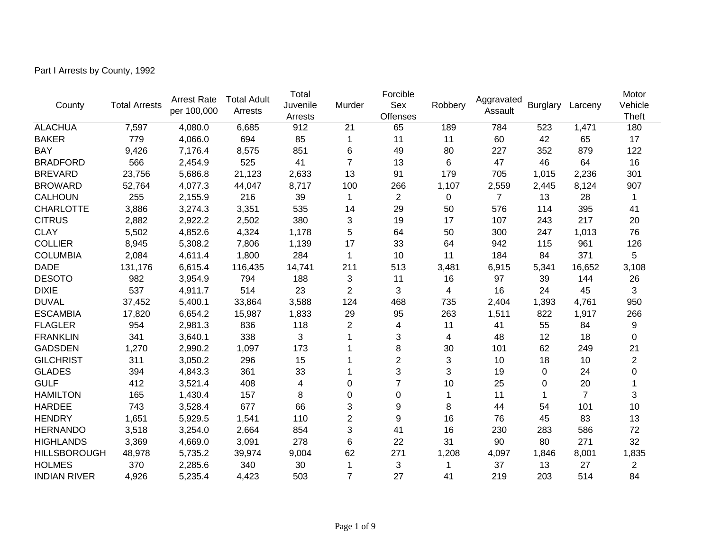Part I Arrests by County, 1992

| County              | <b>Total Arrests</b> | <b>Arrest Rate</b><br>per 100,000 | <b>Total Adult</b><br>Arrests | Total<br>Juvenile<br>Arrests | Murder         | Forcible<br>Sex<br><b>Offenses</b> | Robbery | Aggravated<br>Assault | <b>Burglary</b> | Larceny        | Motor<br>Vehicle<br><b>Theft</b> |
|---------------------|----------------------|-----------------------------------|-------------------------------|------------------------------|----------------|------------------------------------|---------|-----------------------|-----------------|----------------|----------------------------------|
| <b>ALACHUA</b>      | 7,597                | 4,080.0                           | 6,685                         | 912                          | 21             | 65                                 | 189     | 784                   | 523             | 1,471          | 180                              |
| <b>BAKER</b>        | 779                  | 4,066.0                           | 694                           | 85                           | -1             | 11                                 | 11      | 60                    | 42              | 65             | 17                               |
| <b>BAY</b>          | 9,426                | 7,176.4                           | 8,575                         | 851                          | 6              | 49                                 | 80      | 227                   | 352             | 879            | 122                              |
| <b>BRADFORD</b>     | 566                  | 2,454.9                           | 525                           | 41                           | $\overline{7}$ | 13                                 | $\,6\,$ | 47                    | 46              | 64             | 16                               |
| <b>BREVARD</b>      | 23,756               | 5,686.8                           | 21,123                        | 2,633                        | 13             | 91                                 | 179     | 705                   | 1,015           | 2,236          | 301                              |
| <b>BROWARD</b>      | 52,764               | 4,077.3                           | 44,047                        | 8,717                        | 100            | 266                                | 1,107   | 2,559                 | 2,445           | 8,124          | 907                              |
| <b>CALHOUN</b>      | 255                  | 2,155.9                           | 216                           | 39                           | -1             | $\overline{2}$                     | 0       | $\overline{7}$        | 13              | 28             | 1                                |
| <b>CHARLOTTE</b>    | 3,886                | 3,274.3                           | 3,351                         | 535                          | 14             | 29                                 | 50      | 576                   | 114             | 395            | 41                               |
| <b>CITRUS</b>       | 2,882                | 2,922.2                           | 2,502                         | 380                          | 3              | 19                                 | 17      | 107                   | 243             | 217            | 20                               |
| <b>CLAY</b>         | 5,502                | 4,852.6                           | 4,324                         | 1,178                        | 5              | 64                                 | 50      | 300                   | 247             | 1,013          | 76                               |
| <b>COLLIER</b>      | 8,945                | 5,308.2                           | 7,806                         | 1,139                        | 17             | 33                                 | 64      | 942                   | 115             | 961            | 126                              |
| <b>COLUMBIA</b>     | 2,084                | 4,611.4                           | 1,800                         | 284                          | 1              | 10                                 | 11      | 184                   | 84              | 371            | 5                                |
| <b>DADE</b>         | 131,176              | 6,615.4                           | 116,435                       | 14,741                       | 211            | 513                                | 3,481   | 6,915                 | 5,341           | 16,652         | 3,108                            |
| <b>DESOTO</b>       | 982                  | 3,954.9                           | 794                           | 188                          | 3              | 11                                 | 16      | 97                    | 39              | 144            | 26                               |
| <b>DIXIE</b>        | 537                  | 4,911.7                           | 514                           | 23                           | $\overline{2}$ | 3                                  | 4       | 16                    | 24              | 45             | 3                                |
| <b>DUVAL</b>        | 37,452               | 5,400.1                           | 33,864                        | 3,588                        | 124            | 468                                | 735     | 2,404                 | 1,393           | 4,761          | 950                              |
| <b>ESCAMBIA</b>     | 17,820               | 6,654.2                           | 15,987                        | 1,833                        | 29             | 95                                 | 263     | 1,511                 | 822             | 1,917          | 266                              |
| <b>FLAGLER</b>      | 954                  | 2,981.3                           | 836                           | 118                          | $\overline{2}$ | 4                                  | 11      | 41                    | 55              | 84             | 9                                |
| <b>FRANKLIN</b>     | 341                  | 3,640.1                           | 338                           | 3                            | 1              | 3                                  | 4       | 48                    | 12              | 18             | $\mathbf 0$                      |
| <b>GADSDEN</b>      | 1,270                | 2,990.2                           | 1,097                         | 173                          |                | 8                                  | 30      | 101                   | 62              | 249            | 21                               |
| <b>GILCHRIST</b>    | 311                  | 3,050.2                           | 296                           | 15                           |                | $\overline{2}$                     | 3       | 10                    | 18              | 10             | 2                                |
| <b>GLADES</b>       | 394                  | 4,843.3                           | 361                           | 33                           |                | 3                                  | 3       | 19                    | 0               | 24             | $\boldsymbol{0}$                 |
| <b>GULF</b>         | 412                  | 3,521.4                           | 408                           | 4                            | $\mathbf 0$    | $\overline{7}$                     | 10      | 25                    | 0               | 20             |                                  |
| <b>HAMILTON</b>     | 165                  | 1,430.4                           | 157                           | 8                            | $\overline{0}$ | 0                                  | 1       | 11                    |                 | $\overline{7}$ | 3                                |
| <b>HARDEE</b>       | 743                  | 3,528.4                           | 677                           | 66                           | 3              | 9                                  | 8       | 44                    | 54              | 101            | 10                               |
| <b>HENDRY</b>       | 1,651                | 5,929.5                           | 1,541                         | 110                          | $\overline{2}$ | 9                                  | 16      | 76                    | 45              | 83             | 13                               |
| <b>HERNANDO</b>     | 3,518                | 3,254.0                           | 2,664                         | 854                          | 3              | 41                                 | 16      | 230                   | 283             | 586            | 72                               |
| <b>HIGHLANDS</b>    | 3,369                | 4,669.0                           | 3,091                         | 278                          | 6              | 22                                 | 31      | 90                    | 80              | 271            | 32                               |
| <b>HILLSBOROUGH</b> | 48,978               | 5,735.2                           | 39,974                        | 9,004                        | 62             | 271                                | 1,208   | 4,097                 | 1,846           | 8,001          | 1,835                            |
| <b>HOLMES</b>       | 370                  | 2,285.6                           | 340                           | 30                           | -1             | 3                                  |         | 37                    | 13              | 27             | $\overline{2}$                   |
| <b>INDIAN RIVER</b> | 4,926                | 5,235.4                           | 4,423                         | 503                          | $\overline{7}$ | 27                                 | 41      | 219                   | 203             | 514            | 84                               |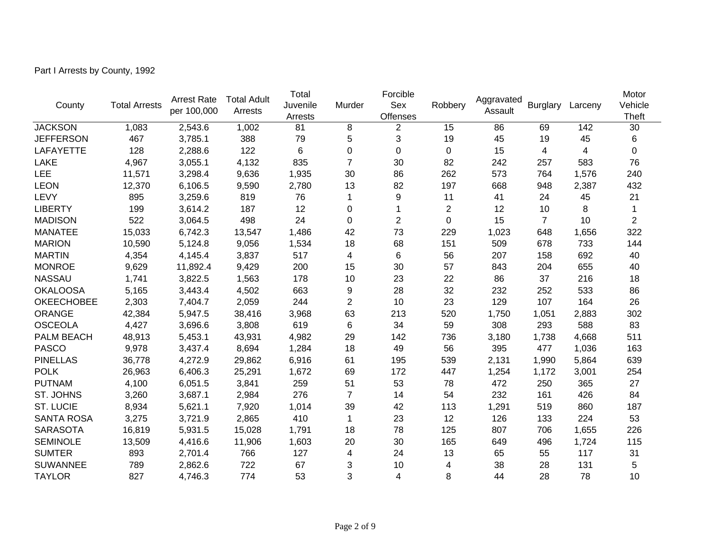Part I Arrests by County, 1992

| County            | <b>Total Arrests</b> | <b>Arrest Rate</b><br>per 100,000 | <b>Total Adult</b><br>Arrests | Total<br>Juvenile<br>Arrests | Murder         | Forcible<br>Sex<br><b>Offenses</b> | Robbery          | Aggravated<br>Assault | <b>Burglary</b> | Larceny | Motor<br>Vehicle<br><b>Theft</b> |
|-------------------|----------------------|-----------------------------------|-------------------------------|------------------------------|----------------|------------------------------------|------------------|-----------------------|-----------------|---------|----------------------------------|
| <b>JACKSON</b>    | 1,083                | 2,543.6                           | 1,002                         | 81                           | 8              | $\overline{2}$                     | 15               | 86                    | 69              | 142     | 30                               |
| <b>JEFFERSON</b>  | 467                  | 3,785.1                           | 388                           | 79                           | 5              | 3                                  | 19               | 45                    | 19              | 45      | 6                                |
| <b>LAFAYETTE</b>  | 128                  | 2,288.6                           | 122                           | 6                            | $\mathbf 0$    | $\overline{0}$                     | $\mathbf 0$      | 15                    | 4               | 4       | 0                                |
| <b>LAKE</b>       | 4,967                | 3,055.1                           | 4,132                         | 835                          | $\overline{7}$ | 30                                 | 82               | 242                   | 257             | 583     | 76                               |
| LEE               | 11,571               | 3,298.4                           | 9,636                         | 1,935                        | 30             | 86                                 | 262              | 573                   | 764             | 1,576   | 240                              |
| <b>LEON</b>       | 12,370               | 6,106.5                           | 9,590                         | 2,780                        | 13             | 82                                 | 197              | 668                   | 948             | 2,387   | 432                              |
| LEVY              | 895                  | 3,259.6                           | 819                           | 76                           | 1              | 9                                  | 11               | 41                    | 24              | 45      | 21                               |
| <b>LIBERTY</b>    | 199                  | 3,614.2                           | 187                           | 12                           | $\pmb{0}$      |                                    | $\boldsymbol{2}$ | 12                    | 10              | 8       |                                  |
| <b>MADISON</b>    | 522                  | 3,064.5                           | 498                           | 24                           | $\mathbf 0$    | $\overline{2}$                     | $\mathbf 0$      | 15                    | $\overline{7}$  | 10      | $\overline{2}$                   |
| <b>MANATEE</b>    | 15,033               | 6,742.3                           | 13,547                        | 1,486                        | 42             | 73                                 | 229              | 1,023                 | 648             | 1,656   | 322                              |
| <b>MARION</b>     | 10,590               | 5,124.8                           | 9,056                         | 1,534                        | 18             | 68                                 | 151              | 509                   | 678             | 733     | 144                              |
| <b>MARTIN</b>     | 4,354                | 4,145.4                           | 3,837                         | 517                          | 4              | $\,6$                              | 56               | 207                   | 158             | 692     | 40                               |
| <b>MONROE</b>     | 9,629                | 11,892.4                          | 9,429                         | 200                          | 15             | 30                                 | 57               | 843                   | 204             | 655     | 40                               |
| <b>NASSAU</b>     | 1,741                | 3,822.5                           | 1,563                         | 178                          | 10             | 23                                 | 22               | 86                    | 37              | 216     | 18                               |
| <b>OKALOOSA</b>   | 5,165                | 3,443.4                           | 4,502                         | 663                          | 9              | 28                                 | 32               | 232                   | 252             | 533     | 86                               |
| <b>OKEECHOBEE</b> | 2,303                | 7,404.7                           | 2,059                         | 244                          | $\overline{2}$ | 10                                 | 23               | 129                   | 107             | 164     | 26                               |
| <b>ORANGE</b>     | 42,384               | 5,947.5                           | 38,416                        | 3,968                        | 63             | 213                                | 520              | 1,750                 | 1,051           | 2,883   | 302                              |
| <b>OSCEOLA</b>    | 4,427                | 3,696.6                           | 3,808                         | 619                          | 6              | 34                                 | 59               | 308                   | 293             | 588     | 83                               |
| PALM BEACH        | 48,913               | 5,453.1                           | 43,931                        | 4,982                        | 29             | 142                                | 736              | 3,180                 | 1,738           | 4,668   | 511                              |
| <b>PASCO</b>      | 9,978                | 3,437.4                           | 8,694                         | 1,284                        | 18             | 49                                 | 56               | 395                   | 477             | 1,036   | 163                              |
| <b>PINELLAS</b>   | 36,778               | 4,272.9                           | 29,862                        | 6,916                        | 61             | 195                                | 539              | 2,131                 | 1,990           | 5,864   | 639                              |
| <b>POLK</b>       | 26,963               | 6,406.3                           | 25,291                        | 1,672                        | 69             | 172                                | 447              | 1,254                 | 1,172           | 3,001   | 254                              |
| <b>PUTNAM</b>     | 4,100                | 6,051.5                           | 3,841                         | 259                          | 51             | 53                                 | 78               | 472                   | 250             | 365     | 27                               |
| ST. JOHNS         | 3,260                | 3,687.1                           | 2,984                         | 276                          | $\overline{7}$ | 14                                 | 54               | 232                   | 161             | 426     | 84                               |
| <b>ST. LUCIE</b>  | 8,934                | 5,621.1                           | 7,920                         | 1,014                        | 39             | 42                                 | 113              | 1,291                 | 519             | 860     | 187                              |
| <b>SANTA ROSA</b> | 3,275                | 3,721.9                           | 2,865                         | 410                          | $\mathbf 1$    | 23                                 | 12               | 126                   | 133             | 224     | 53                               |
| <b>SARASOTA</b>   | 16,819               | 5,931.5                           | 15,028                        | 1,791                        | 18             | 78                                 | 125              | 807                   | 706             | 1,655   | 226                              |
| <b>SEMINOLE</b>   | 13,509               | 4,416.6                           | 11,906                        | 1,603                        | 20             | 30                                 | 165              | 649                   | 496             | 1,724   | 115                              |
| <b>SUMTER</b>     | 893                  | 2,701.4                           | 766                           | 127                          | 4              | 24                                 | 13               | 65                    | 55              | 117     | 31                               |
| <b>SUWANNEE</b>   | 789                  | 2,862.6                           | 722                           | 67                           | 3              | 10                                 | 4                | 38                    | 28              | 131     | 5                                |
| <b>TAYLOR</b>     | 827                  | 4,746.3                           | 774                           | 53                           | 3              | 4                                  | 8                | 44                    | 28              | 78      | 10                               |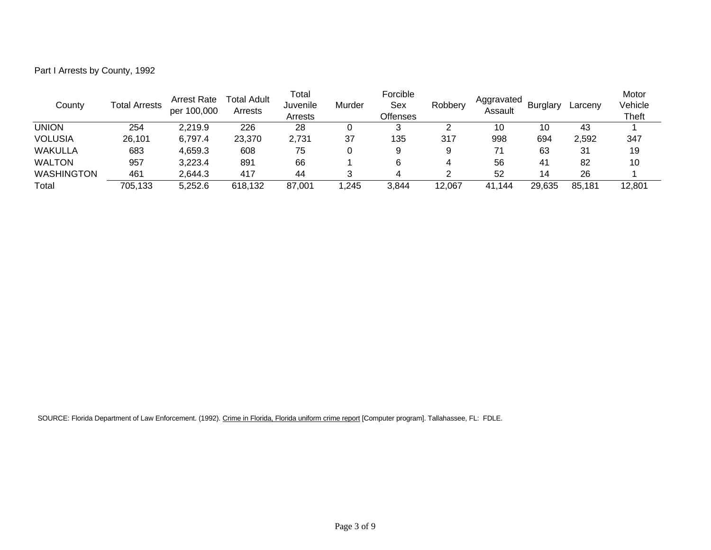Part I Arrests by County, 1992

| County            | <b>Total Arrests</b> | <b>Arrest Rate</b><br>per 100,000 | Total Adult<br>Arrests | Total<br>Juvenile<br>Arrests | Murder | Forcible<br>Sex<br><b>Offenses</b> | Robbery | Aggravated<br>Assault | <b>Burglary</b> | Larcenv | Motor<br>Vehicle<br><b>Theft</b> |
|-------------------|----------------------|-----------------------------------|------------------------|------------------------------|--------|------------------------------------|---------|-----------------------|-----------------|---------|----------------------------------|
| UNION             | 254                  | 2,219.9                           | 226                    | 28                           |        |                                    |         | 10                    | 10              | 43      |                                  |
| <b>VOLUSIA</b>    | 26,101               | 6,797.4                           | 23,370                 | 2,731                        | 37     | 135                                | 317     | 998                   | 694             | 2,592   | 347                              |
| <b>WAKULLA</b>    | 683                  | 4,659.3                           | 608                    | 75                           |        | 9                                  |         | 71                    | 63              | 31      | 19                               |
| <b>WALTON</b>     | 957                  | 3,223.4                           | 891                    | 66                           |        |                                    |         | 56                    | 41              | 82      | 10                               |
| <b>WASHINGTON</b> | 461                  | 2.644.3                           | 417                    | 44                           |        |                                    |         | 52                    | 14              | 26      |                                  |
| Total             | 705,133              | 5,252.6                           | 618,132                | 87,001                       | ,245   | 3,844                              | 12,067  | 41.144                | 29,635          | 85,181  | 12,801                           |

SOURCE: Florida Department of Law Enforcement. (1992). Crime in Florida, Florida uniform crime report [Computer program]. Tallahassee, FL: FDLE.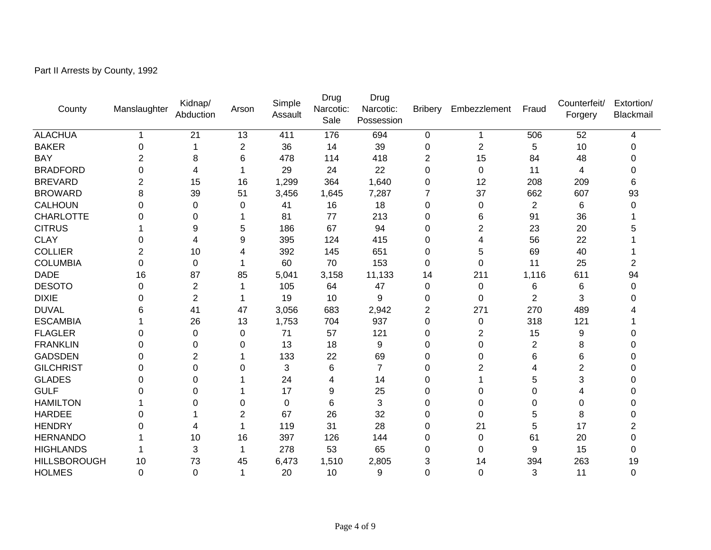Part II Arrests by County, 1992

| County              | Manslaughter | Kidnap/<br>Abduction | Arson          | Simple<br>Assault | Drug<br>Narcotic:<br>Sale | Drug<br>Narcotic:<br>Possession | <b>Bribery</b> | Embezzlement   | Fraud          | Counterfeit/<br>Forgery | Extortion/<br>Blackmail |
|---------------------|--------------|----------------------|----------------|-------------------|---------------------------|---------------------------------|----------------|----------------|----------------|-------------------------|-------------------------|
| <b>ALACHUA</b>      |              | 21                   | 13             | 411               | 176                       | 694                             | 0              |                | 506            | 52                      | 4                       |
| <b>BAKER</b>        | 0            |                      | 2              | 36                | 14                        | 39                              | 0              | 2              | 5              | 10                      | O                       |
| <b>BAY</b>          | 2            | 8                    | 6              | 478               | 114                       | 418                             | 2              | 15             | 84             | 48                      |                         |
| <b>BRADFORD</b>     | 0            | 4                    | 1              | 29                | 24                        | 22                              | 0              | 0              | 11             | 4                       |                         |
| <b>BREVARD</b>      | 2            | 15                   | 16             | 1,299             | 364                       | 1,640                           | 0              | 12             | 208            | 209                     | 6                       |
| <b>BROWARD</b>      | 8            | 39                   | 51             | 3,456             | 1,645                     | 7,287                           | 7              | 37             | 662            | 607                     | 93                      |
| <b>CALHOUN</b>      | 0            | $\pmb{0}$            | 0              | 41                | 16                        | 18                              | 0              | $\mathbf 0$    | $\overline{2}$ | 6                       | 0                       |
| <b>CHARLOTTE</b>    | 0            | 0                    | 1              | 81                | 77                        | 213                             | 0              | 6              | 91             | 36                      |                         |
| <b>CITRUS</b>       |              | 9                    | 5              | 186               | 67                        | 94                              | 0              | 2              | 23             | 20                      |                         |
| <b>CLAY</b>         | 0            | 4                    | 9              | 395               | 124                       | 415                             | 0              | 4              | 56             | 22                      |                         |
| <b>COLLIER</b>      | 2            | 10                   | 4              | 392               | 145                       | 651                             | $\Omega$       | 5              | 69             | 40                      |                         |
| <b>COLUMBIA</b>     | 0            | 0                    | 1              | 60                | 70                        | 153                             | 0              | $\Omega$       | 11             | 25                      | 2                       |
| <b>DADE</b>         | 16           | 87                   | 85             | 5,041             | 3,158                     | 11,133                          | 14             | 211            | 1,116          | 611                     | 94                      |
| <b>DESOTO</b>       | 0            | $\boldsymbol{2}$     | 1              | 105               | 64                        | 47                              | 0              | 0              | 6              | 6                       | 0                       |
| <b>DIXIE</b>        | 0            | $\overline{2}$       |                | 19                | 10                        | 9                               | 0              | 0              | $\overline{2}$ | 3                       |                         |
| <b>DUVAL</b>        | 6            | 41                   | 47             | 3,056             | 683                       | 2,942                           | 2              | 271            | 270            | 489                     |                         |
| <b>ESCAMBIA</b>     |              | 26                   | 13             | 1,753             | 704                       | 937                             | $\Omega$       | $\mathbf 0$    | 318            | 121                     |                         |
| <b>FLAGLER</b>      | 0            | 0                    | 0              | 71                | 57                        | 121                             | 0              | $\overline{2}$ | 15             | 9                       |                         |
| <b>FRANKLIN</b>     | 0            | 0                    | 0              | 13                | 18                        | 9                               | 0              | 0              | 2              | 8                       |                         |
| <b>GADSDEN</b>      | 0            | $\overline{2}$       |                | 133               | 22                        | 69                              | 0              | 0              | 6              | 6                       |                         |
| <b>GILCHRIST</b>    | 0            | 0                    | 0              | 3                 | 6                         | 7                               | 0              | 2              |                | $\overline{2}$          |                         |
| <b>GLADES</b>       | 0            | 0                    |                | 24                | 4                         | 14                              | 0              |                | 5              | 3                       |                         |
| <b>GULF</b>         | ი            | 0                    |                | 17                | 9                         | 25                              | $\Omega$       | 0              | 0              | 4                       |                         |
| <b>HAMILTON</b>     |              | 0                    | 0              | 0                 | 6                         | 3                               | 0              | 0              | 0              | 0                       | 0                       |
| <b>HARDEE</b>       | 0            |                      | $\overline{c}$ | 67                | 26                        | 32                              | 0              | 0              | 5              | 8                       | U                       |
| <b>HENDRY</b>       | ი            | 4                    | 1              | 119               | 31                        | 28                              | $\Omega$       | 21             | 5              | 17                      | 2                       |
| <b>HERNANDO</b>     |              | 10                   | 16             | 397               | 126                       | 144                             | 0              | 0              | 61             | 20                      | 0                       |
| <b>HIGHLANDS</b>    |              | 3                    | 1              | 278               | 53                        | 65                              | 0              | 0              | 9              | 15                      | 0                       |
| <b>HILLSBOROUGH</b> | 10           | 73                   | 45             | 6,473             | 1,510                     | 2,805                           | 3              | 14             | 394            | 263                     | 19                      |
| <b>HOLMES</b>       | $\Omega$     | $\Omega$             | 1              | 20                | 10                        | 9                               | $\Omega$       | $\Omega$       | 3              | 11                      | $\overline{0}$          |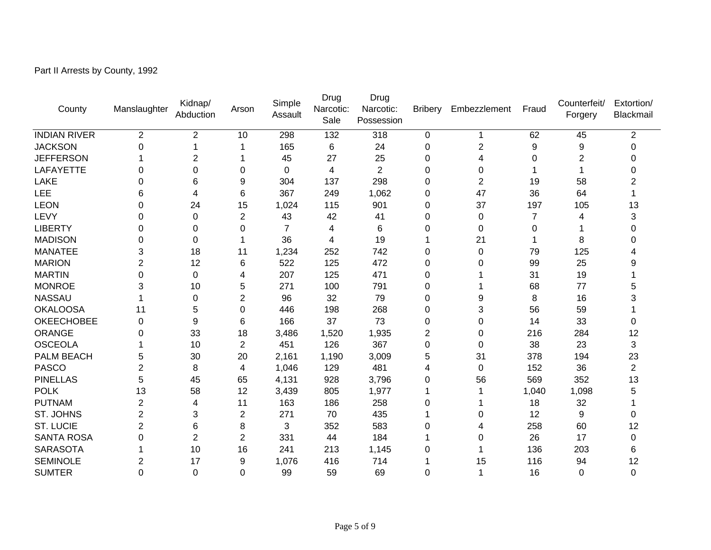Part II Arrests by County, 1992

| County              | Manslaughter   | Kidnap/<br>Abduction | Arson          | Simple<br>Assault | Drug<br>Narcotic:<br>Sale | Drug<br>Narcotic:<br>Possession | <b>Bribery</b> | Embezzlement   | Fraud    | Counterfeit/<br>Forgery | Extortion/<br>Blackmail |
|---------------------|----------------|----------------------|----------------|-------------------|---------------------------|---------------------------------|----------------|----------------|----------|-------------------------|-------------------------|
| <b>INDIAN RIVER</b> | $\overline{2}$ | $\overline{2}$       | 10             | 298               | 132                       | 318                             | 0              |                | 62       | 45                      | $\overline{2}$          |
| <b>JACKSON</b>      | 0              |                      | 1              | 165               | 6                         | 24                              | 0              | $\overline{2}$ | 9        | 9                       | 0                       |
| <b>JEFFERSON</b>    |                | $\overline{2}$       |                | 45                | 27                        | 25                              | 0              | 4              | 0        | $\overline{2}$          | 0                       |
| <b>LAFAYETTE</b>    | 0              | 0                    | 0              | 0                 | 4                         | $\overline{2}$                  | 0              | 0              |          |                         | 0                       |
| LAKE                | 0              | 6                    | 9              | 304               | 137                       | 298                             | 0              | $\overline{2}$ | 19       | 58                      | 2                       |
| LEE                 | 6              | 4                    | 6              | 367               | 249                       | 1,062                           | 0              | 47             | 36       | 64                      |                         |
| <b>LEON</b>         | 0              | 24                   | 15             | 1,024             | 115                       | 901                             | $\mathbf 0$    | 37             | 197      | 105                     | 13                      |
| LEVY                | 0              | 0                    | 2              | 43                | 42                        | 41                              | 0              | 0              | 7        | 4                       | 3                       |
| <b>LIBERTY</b>      | $\Omega$       | $\Omega$             | 0              | 7                 | 4                         | 6                               | $\Omega$       | $\Omega$       | $\Omega$ |                         | 0                       |
| <b>MADISON</b>      | 0              | 0                    | 1              | 36                | 4                         | 19                              | 1              | 21             |          | 8                       | 0                       |
| <b>MANATEE</b>      | 3              | 18                   | 11             | 1,234             | 252                       | 742                             | $\mathbf 0$    | $\mathbf 0$    | 79       | 125                     |                         |
| <b>MARION</b>       | 2              | 12                   | 6              | 522               | 125                       | 472                             | 0              | 0              | 99       | 25                      | 9                       |
| <b>MARTIN</b>       | 0              | $\Omega$             | 4              | 207               | 125                       | 471                             | 0              |                | 31       | 19                      |                         |
| <b>MONROE</b>       | 3              | 10                   | 5              | 271               | 100                       | 791                             | $\Omega$       |                | 68       | 77                      | 5                       |
| <b>NASSAU</b>       |                | 0                    | 2              | 96                | 32                        | 79                              | 0              | 9              | 8        | 16                      |                         |
| <b>OKALOOSA</b>     | 11             | 5                    | 0              | 446               | 198                       | 268                             | 0              | 3              | 56       | 59                      |                         |
| <b>OKEECHOBEE</b>   | 0              | 9                    | 6              | 166               | 37                        | 73                              | 0              | 0              | 14       | 33                      | 0                       |
| <b>ORANGE</b>       | 0              | 33                   | 18             | 3,486             | 1,520                     | 1,935                           | $\overline{2}$ | 0              | 216      | 284                     | 12                      |
| <b>OSCEOLA</b>      |                | 10                   | $\overline{2}$ | 451               | 126                       | 367                             | 0              | 0              | 38       | 23                      | 3                       |
| PALM BEACH          | 5              | 30                   | 20             | 2,161             | 1,190                     | 3,009                           | 5              | 31             | 378      | 194                     | 23                      |
| <b>PASCO</b>        | 2              | 8                    | 4              | 1,046             | 129                       | 481                             | 4              | $\Omega$       | 152      | 36                      | $\overline{2}$          |
| <b>PINELLAS</b>     | 5              | 45                   | 65             | 4,131             | 928                       | 3,796                           | 0              | 56             | 569      | 352                     | 13                      |
| <b>POLK</b>         | 13             | 58                   | 12             | 3,439             | 805                       | 1,977                           | 1              |                | 1,040    | 1,098                   | 5                       |
| <b>PUTNAM</b>       | 2              | 4                    | 11             | 163               | 186                       | 258                             | 0              |                | 18       | 32                      |                         |
| ST. JOHNS           | 2              | 3                    | 2              | 271               | 70                        | 435                             |                | 0              | 12       | 9                       | 0                       |
| <b>ST. LUCIE</b>    | $\overline{2}$ | 6                    | 8              | 3                 | 352                       | 583                             | 0              | 4              | 258      | 60                      | 12                      |
| <b>SANTA ROSA</b>   | 0              | $\overline{2}$       | $\overline{2}$ | 331               | 44                        | 184                             |                | 0              | 26       | 17                      | 0                       |
| <b>SARASOTA</b>     |                | 10                   | 16             | 241               | 213                       | 1,145                           | 0              |                | 136      | 203                     | 6                       |
| <b>SEMINOLE</b>     | 2              | 17                   | 9              | 1,076             | 416                       | 714                             |                | 15             | 116      | 94                      | 12                      |
| <b>SUMTER</b>       | 0              | $\mathbf 0$          | $\Omega$       | 99                | 59                        | 69                              | 0              |                | 16       | $\mathbf 0$             | $\mathbf 0$             |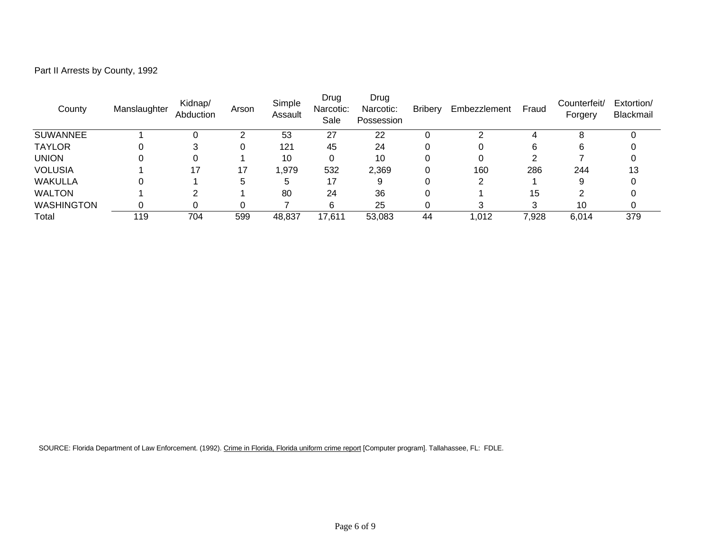| Part II Arrests by County, 1992 |  |  |
|---------------------------------|--|--|
|---------------------------------|--|--|

| County            | Manslaughter | Kidnap/<br>Abduction | Arson | Simple<br>Assault | Drug<br>Narcotic:<br>Sale | Drug<br>Narcotic:<br>Possession | <b>Bribery</b> | Embezzlement | Fraud | Counterfeit/<br>Forgery | Extortion/<br>Blackmail |
|-------------------|--------------|----------------------|-------|-------------------|---------------------------|---------------------------------|----------------|--------------|-------|-------------------------|-------------------------|
| <b>SUWANNEE</b>   |              |                      | ⌒     | 53                | 27                        | 22                              |                |              | 4     | 8                       |                         |
| <b>TAYLOR</b>     |              |                      |       | 121               | 45                        | 24                              |                |              | 6     | 6                       |                         |
| <b>UNION</b>      |              |                      |       | 10                |                           | 10                              |                |              | ົ     |                         |                         |
| <b>VOLUSIA</b>    |              | 17                   | 17    | 1,979             | 532                       | 2,369                           |                | 160          | 286   | 244                     | 13                      |
| <b>WAKULLA</b>    |              |                      | 5     | 5                 | 17                        |                                 |                | ∠            |       |                         |                         |
| <b>WALTON</b>     |              |                      |       | 80                | 24                        | 36                              |                |              | 15    |                         |                         |
| <b>WASHINGTON</b> |              |                      |       |                   | 6                         | 25                              |                |              | 3     | 10                      |                         |
| Total             | 119          | 704                  | 599   | 48,837            | 17,611                    | 53,083                          | 44             | 1,012        | 7,928 | 6,014                   | 379                     |

SOURCE: Florida Department of Law Enforcement. (1992). Crime in Florida, Florida uniform crime report [Computer program]. Tallahassee, FL: FDLE.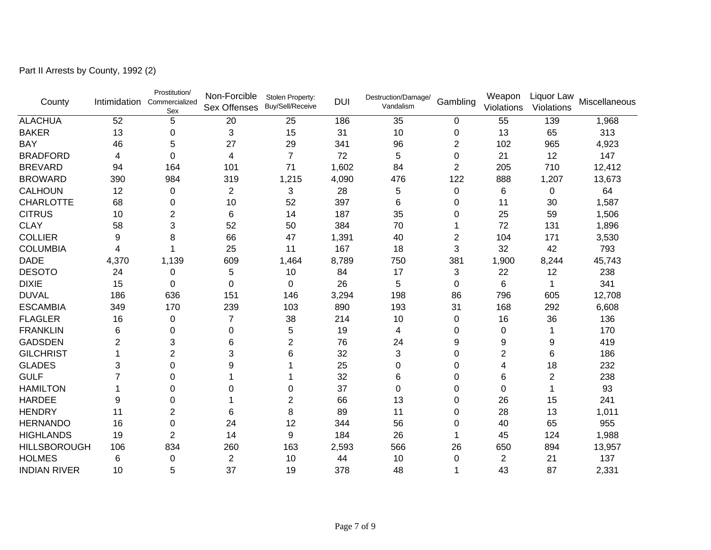| County              | Intimidation   | Prostitution/<br>Commercialized<br>Sex | Non-Forcible<br><b>Sex Offenses</b> | Stolen Property:<br>Buy/Sell/Receive | <b>DUI</b> | Destruction/Damage/<br>Vandalism | Gambling       | Weapon<br>Violations | Liquor Law<br>Violations | Miscellaneous |
|---------------------|----------------|----------------------------------------|-------------------------------------|--------------------------------------|------------|----------------------------------|----------------|----------------------|--------------------------|---------------|
| <b>ALACHUA</b>      | 52             | 5                                      | 20                                  | 25                                   | 186        | 35                               | 0              | 55                   | 139                      | 1,968         |
| <b>BAKER</b>        | 13             | 0                                      | 3                                   | 15                                   | 31         | 10                               | 0              | 13                   | 65                       | 313           |
| <b>BAY</b>          | 46             | 5                                      | 27                                  | 29                                   | 341        | 96                               | $\overline{2}$ | 102                  | 965                      | 4,923         |
| <b>BRADFORD</b>     | 4              | $\Omega$                               | 4                                   | $\overline{7}$                       | 72         | 5                                | 0              | 21                   | 12                       | 147           |
| <b>BREVARD</b>      | 94             | 164                                    | 101                                 | 71                                   | 1,602      | 84                               | $\overline{2}$ | 205                  | 710                      | 12,412        |
| <b>BROWARD</b>      | 390            | 984                                    | 319                                 | 1,215                                | 4,090      | 476                              | 122            | 888                  | 1,207                    | 13,673        |
| <b>CALHOUN</b>      | 12             | 0                                      | $\overline{2}$                      | 3                                    | 28         | 5                                | 0              | 6                    | 0                        | 64            |
| <b>CHARLOTTE</b>    | 68             | 0                                      | 10                                  | 52                                   | 397        | 6                                | 0              | 11                   | 30                       | 1,587         |
| <b>CITRUS</b>       | 10             | 2                                      | 6                                   | 14                                   | 187        | 35                               | 0              | 25                   | 59                       | 1,506         |
| <b>CLAY</b>         | 58             | 3                                      | 52                                  | 50                                   | 384        | 70                               |                | 72                   | 131                      | 1,896         |
| <b>COLLIER</b>      | 9              | 8                                      | 66                                  | 47                                   | 1,391      | 40                               | 2              | 104                  | 171                      | 3,530         |
| <b>COLUMBIA</b>     | 4              |                                        | 25                                  | 11                                   | 167        | 18                               | 3              | 32                   | 42                       | 793           |
| <b>DADE</b>         | 4,370          | 1,139                                  | 609                                 | 1,464                                | 8,789      | 750                              | 381            | 1,900                | 8,244                    | 45,743        |
| <b>DESOTO</b>       | 24             | 0                                      | 5                                   | 10                                   | 84         | 17                               | 3              | 22                   | 12                       | 238           |
| <b>DIXIE</b>        | 15             | $\Omega$                               | $\Omega$                            | $\Omega$                             | 26         | 5                                | 0              | 6                    | 1                        | 341           |
| <b>DUVAL</b>        | 186            | 636                                    | 151                                 | 146                                  | 3,294      | 198                              | 86             | 796                  | 605                      | 12,708        |
| <b>ESCAMBIA</b>     | 349            | 170                                    | 239                                 | 103                                  | 890        | 193                              | 31             | 168                  | 292                      | 6,608         |
| <b>FLAGLER</b>      | 16             | 0                                      | 7                                   | 38                                   | 214        | 10                               | 0              | 16                   | 36                       | 136           |
| <b>FRANKLIN</b>     | 6              | $\Omega$                               | 0                                   | 5                                    | 19         | 4                                | 0              | 0                    |                          | 170           |
| <b>GADSDEN</b>      | $\overline{2}$ | 3                                      | 6                                   | $\overline{2}$                       | 76         | 24                               | 9              | 9                    | 9                        | 419           |
| <b>GILCHRIST</b>    |                | 2                                      | 3                                   | 6                                    | 32         | 3                                | 0              | 2                    | 6                        | 186           |
| <b>GLADES</b>       | 3              | $\Omega$                               | 9                                   |                                      | 25         | 0                                | 0              | 4                    | 18                       | 232           |
| <b>GULF</b>         | 7              | $\Omega$                               |                                     |                                      | 32         | 6                                | 0              | 6                    | 2                        | 238           |
| <b>HAMILTON</b>     |                | 0                                      | Ω                                   | 0                                    | 37         | 0                                | 0              | 0                    |                          | 93            |
| <b>HARDEE</b>       | 9              | 0                                      |                                     | $\overline{2}$                       | 66         | 13                               | 0              | 26                   | 15                       | 241           |
| <b>HENDRY</b>       | 11             | 2                                      | 6                                   | 8                                    | 89         | 11                               | 0              | 28                   | 13                       | 1,011         |
| <b>HERNANDO</b>     | 16             | 0                                      | 24                                  | 12                                   | 344        | 56                               | 0              | 40                   | 65                       | 955           |
| <b>HIGHLANDS</b>    | 19             | 2                                      | 14                                  | 9                                    | 184        | 26                               |                | 45                   | 124                      | 1,988         |
| <b>HILLSBOROUGH</b> | 106            | 834                                    | 260                                 | 163                                  | 2,593      | 566                              | 26             | 650                  | 894                      | 13,957        |
| <b>HOLMES</b>       | 6              | 0                                      | $\overline{c}$                      | 10                                   | 44         | 10                               | 0              | 2                    | 21                       | 137           |
| <b>INDIAN RIVER</b> | 10             | 5                                      | 37                                  | 19                                   | 378        | 48                               |                | 43                   | 87                       | 2,331         |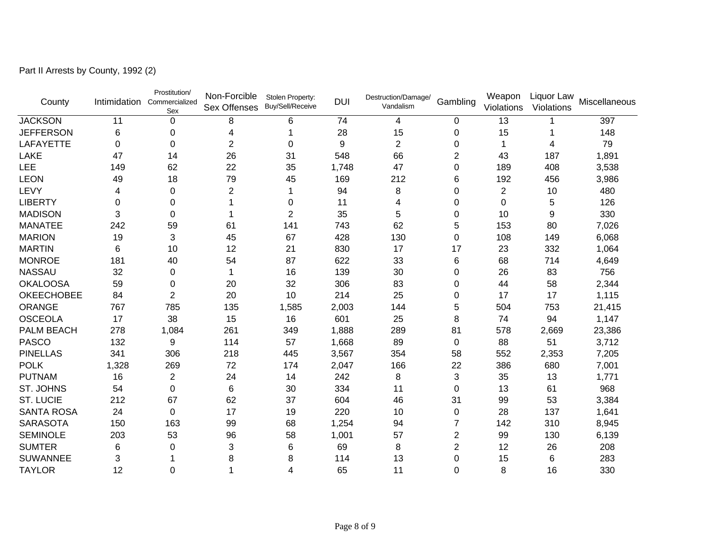|  |  |  | Part II Arrests by County, 1992 (2) |  |  |
|--|--|--|-------------------------------------|--|--|
|--|--|--|-------------------------------------|--|--|

| County            |             | Prostitution/<br>Intimidation Commercialized<br>Sex | Non-Forcible<br><b>Sex Offenses</b> | Stolen Property:<br>Buy/Sell/Receive | <b>DUI</b> | Destruction/Damage/<br>Vandalism | Gambling       | Weapon<br>Violations | Liquor Law<br>Violations | Miscellaneous |
|-------------------|-------------|-----------------------------------------------------|-------------------------------------|--------------------------------------|------------|----------------------------------|----------------|----------------------|--------------------------|---------------|
| <b>JACKSON</b>    | 11          | 0                                                   | 8                                   | 6                                    | 74         | 4                                | 0              | 13                   |                          | 397           |
| <b>JEFFERSON</b>  | 6           | 0                                                   | 4                                   |                                      | 28         | 15                               | 0              | 15                   |                          | 148           |
| <b>LAFAYETTE</b>  | $\mathbf 0$ | $\Omega$                                            | $\overline{2}$                      | 0                                    | 9          | $\overline{2}$                   | $\Omega$       | 1                    | 4                        | 79            |
| <b>LAKE</b>       | 47          | 14                                                  | 26                                  | 31                                   | 548        | 66                               | 2              | 43                   | 187                      | 1,891         |
| LEE               | 149         | 62                                                  | 22                                  | 35                                   | 1,748      | 47                               | $\mathbf 0$    | 189                  | 408                      | 3,538         |
| <b>LEON</b>       | 49          | 18                                                  | 79                                  | 45                                   | 169        | 212                              | 6              | 192                  | 456                      | 3,986         |
| LEVY              | 4           | 0                                                   | $\overline{2}$                      |                                      | 94         | 8                                | $\Omega$       | 2                    | 10                       | 480           |
| <b>LIBERTY</b>    | $\mathbf 0$ | 0                                                   |                                     | 0                                    | 11         | 4                                | 0              | 0                    | 5                        | 126           |
| <b>MADISON</b>    | 3           | 0                                                   |                                     | 2                                    | 35         | 5                                | 0              | 10                   | 9                        | 330           |
| <b>MANATEE</b>    | 242         | 59                                                  | 61                                  | 141                                  | 743        | 62                               | 5              | 153                  | 80                       | 7,026         |
| <b>MARION</b>     | 19          | 3                                                   | 45                                  | 67                                   | 428        | 130                              | $\mathbf 0$    | 108                  | 149                      | 6,068         |
| <b>MARTIN</b>     | 6           | 10                                                  | 12                                  | 21                                   | 830        | 17                               | 17             | 23                   | 332                      | 1,064         |
| <b>MONROE</b>     | 181         | 40                                                  | 54                                  | 87                                   | 622        | 33                               | 6              | 68                   | 714                      | 4,649         |
| <b>NASSAU</b>     | 32          | 0                                                   |                                     | 16                                   | 139        | 30                               | $\Omega$       | 26                   | 83                       | 756           |
| <b>OKALOOSA</b>   | 59          | 0                                                   | 20                                  | 32                                   | 306        | 83                               | 0              | 44                   | 58                       | 2,344         |
| <b>OKEECHOBEE</b> | 84          | 2                                                   | 20                                  | 10                                   | 214        | 25                               | 0              | 17                   | 17                       | 1,115         |
| <b>ORANGE</b>     | 767         | 785                                                 | 135                                 | 1,585                                | 2,003      | 144                              | 5              | 504                  | 753                      | 21,415        |
| <b>OSCEOLA</b>    | 17          | 38                                                  | 15                                  | 16                                   | 601        | 25                               | 8              | 74                   | 94                       | 1,147         |
| <b>PALM BEACH</b> | 278         | 1,084                                               | 261                                 | 349                                  | 1,888      | 289                              | 81             | 578                  | 2,669                    | 23,386        |
| <b>PASCO</b>      | 132         | 9                                                   | 114                                 | 57                                   | 1,668      | 89                               | 0              | 88                   | 51                       | 3,712         |
| <b>PINELLAS</b>   | 341         | 306                                                 | 218                                 | 445                                  | 3,567      | 354                              | 58             | 552                  | 2,353                    | 7,205         |
| <b>POLK</b>       | 1,328       | 269                                                 | 72                                  | 174                                  | 2,047      | 166                              | 22             | 386                  | 680                      | 7,001         |
| <b>PUTNAM</b>     | 16          | $\overline{2}$                                      | 24                                  | 14                                   | 242        | 8                                | 3              | 35                   | 13                       | 1,771         |
| ST. JOHNS         | 54          | 0                                                   | 6                                   | 30                                   | 334        | 11                               | 0              | 13                   | 61                       | 968           |
| <b>ST. LUCIE</b>  | 212         | 67                                                  | 62                                  | 37                                   | 604        | 46                               | 31             | 99                   | 53                       | 3,384         |
| <b>SANTA ROSA</b> | 24          | $\Omega$                                            | 17                                  | 19                                   | 220        | 10                               | 0              | 28                   | 137                      | 1,641         |
| <b>SARASOTA</b>   | 150         | 163                                                 | 99                                  | 68                                   | 1,254      | 94                               | 7              | 142                  | 310                      | 8,945         |
| <b>SEMINOLE</b>   | 203         | 53                                                  | 96                                  | 58                                   | 1,001      | 57                               | 2              | 99                   | 130                      | 6,139         |
| <b>SUMTER</b>     | 6           | 0                                                   | 3                                   | 6                                    | 69         | 8                                | $\overline{2}$ | 12                   | 26                       | 208           |
| SUWANNEE          | 3           |                                                     | 8                                   | 8                                    | 114        | 13                               | $\Omega$       | 15                   | 6                        | 283           |
| <b>TAYLOR</b>     | 12          | 0                                                   |                                     | 4                                    | 65         | 11                               | 0              | 8                    | 16                       | 330           |